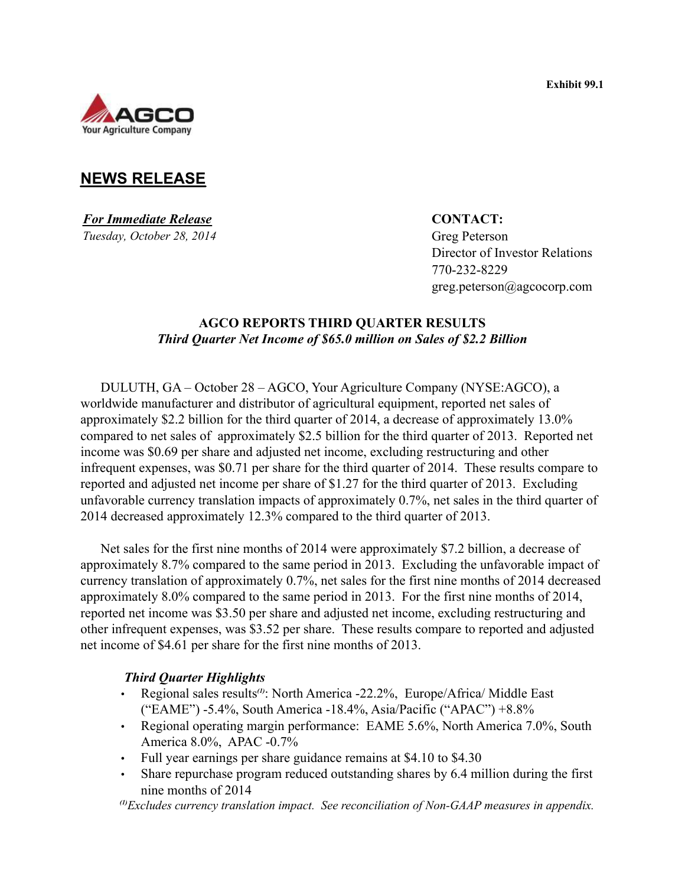**Exhibit 99.1**



# **NEWS RELEASE**

**For Immediate Release CONTACT:** *Tuesday, October 28, 2014* Greg Peterson

Director of Investor Relations 770-232-8229 greg.peterson@agcocorp.com

## **AGCO REPORTS THIRD QUARTER RESULTS** *Third Quarter Net Income of \$65.0 million on Sales of \$2.2 Billion*

DULUTH, GA – October 28 – AGCO, Your Agriculture Company (NYSE:AGCO), a worldwide manufacturer and distributor of agricultural equipment, reported net sales of approximately \$2.2 billion for the third quarter of 2014, a decrease of approximately 13.0% compared to net sales of approximately \$2.5 billion for the third quarter of 2013. Reported net income was \$0.69 per share and adjusted net income, excluding restructuring and other infrequent expenses, was \$0.71 per share for the third quarter of 2014. These results compare to reported and adjusted net income per share of \$1.27 for the third quarter of 2013. Excluding unfavorable currency translation impacts of approximately 0.7%, net sales in the third quarter of 2014 decreased approximately 12.3% compared to the third quarter of 2013.

Net sales for the first nine months of 2014 were approximately \$7.2 billion, a decrease of approximately 8.7% compared to the same period in 2013. Excluding the unfavorable impact of currency translation of approximately 0.7%, net sales for the first nine months of 2014 decreased approximately 8.0% compared to the same period in 2013. For the first nine months of 2014, reported net income was \$3.50 per share and adjusted net income, excluding restructuring and other infrequent expenses, was \$3.52 per share. These results compare to reported and adjusted net income of \$4.61 per share for the first nine months of 2013.

## *Third Quarter Highlights*

- Regional sales results*(1)*: North America -22.2%, Europe/Africa/ Middle East ("EAME") -5.4%, South America -18.4%, Asia/Pacific ("APAC") +8.8%
- Regional operating margin performance: EAME 5.6%, North America 7.0%, South America 8.0%, APAC -0.7%
- Full year earnings per share guidance remains at \$4.10 to \$4.30
- Share repurchase program reduced outstanding shares by 6.4 million during the first nine months of 2014

*(1)Excludes currency translation impact. See reconciliation of Non-GAAP measures in appendix.*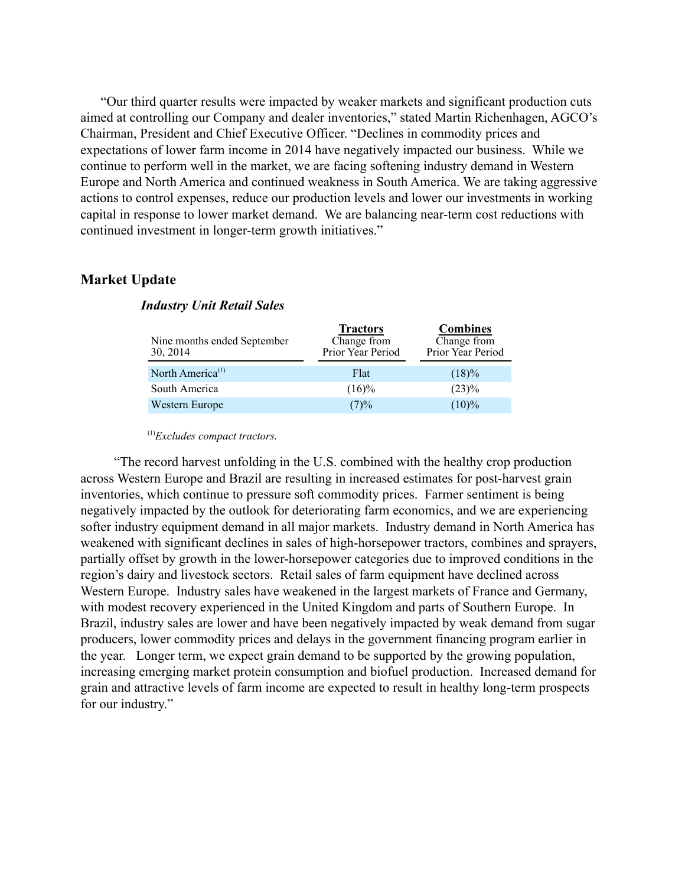"Our third quarter results were impacted by weaker markets and significant production cuts aimed at controlling our Company and dealer inventories," stated Martin Richenhagen, AGCO's Chairman, President and Chief Executive Officer. "Declines in commodity prices and expectations of lower farm income in 2014 have negatively impacted our business. While we continue to perform well in the market, we are facing softening industry demand in Western Europe and North America and continued weakness in South America. We are taking aggressive actions to control expenses, reduce our production levels and lower our investments in working capital in response to lower market demand. We are balancing near-term cost reductions with continued investment in longer-term growth initiatives."

## **Market Update**

| Nine months ended September<br>30, 2014 | <b>Tractors</b><br>Change from<br>Prior Year Period | <b>Combines</b><br>Change from<br>Prior Year Period |
|-----------------------------------------|-----------------------------------------------------|-----------------------------------------------------|
| North America <sup>(1)</sup>            | Flat                                                | $(18)\%$                                            |
| South America                           | $(16)\%$                                            | $(23)\%$                                            |
| Western Europe                          | (7)%                                                | $(10)\%$                                            |

### *Industry Unit Retail Sales*

(1)*Excludes compact tractors.* 

 "The record harvest unfolding in the U.S. combined with the healthy crop production across Western Europe and Brazil are resulting in increased estimates for post-harvest grain inventories, which continue to pressure soft commodity prices. Farmer sentiment is being negatively impacted by the outlook for deteriorating farm economics, and we are experiencing softer industry equipment demand in all major markets. Industry demand in North America has weakened with significant declines in sales of high-horsepower tractors, combines and sprayers, partially offset by growth in the lower-horsepower categories due to improved conditions in the region's dairy and livestock sectors. Retail sales of farm equipment have declined across Western Europe. Industry sales have weakened in the largest markets of France and Germany, with modest recovery experienced in the United Kingdom and parts of Southern Europe. In Brazil, industry sales are lower and have been negatively impacted by weak demand from sugar producers, lower commodity prices and delays in the government financing program earlier in the year. Longer term, we expect grain demand to be supported by the growing population, increasing emerging market protein consumption and biofuel production. Increased demand for grain and attractive levels of farm income are expected to result in healthy long-term prospects for our industry."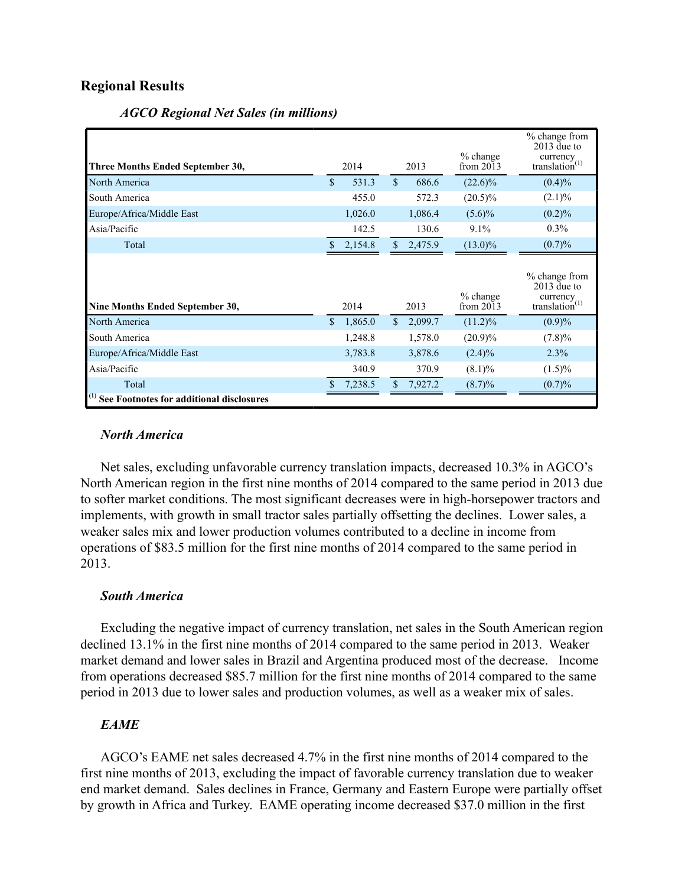## **Regional Results**

| Three Months Ended September 30, | 2014                        | 2013                   | $%$ change<br>from $2013$ | % change from<br>$2013$ due to<br>currency<br>translation <sup><math>(1)</math></sup> |
|----------------------------------|-----------------------------|------------------------|---------------------------|---------------------------------------------------------------------------------------|
| North America                    | $\mathbf{\hat{s}}$<br>531.3 | $\mathcal{S}$<br>686.6 | $(22.6)\%$                | $(0.4)\%$                                                                             |
| South America                    | 455.0                       | 572.3                  | $(20.5)\%$                | $(2.1)\%$                                                                             |
| Europe/Africa/Middle East        | 1,026.0                     | 1,086.4                | $(5.6)\%$                 | (0.2)%                                                                                |
| Asia/Pacific                     | 142.5                       | 130.6                  | 9.1%                      | $0.3\%$                                                                               |
| Total                            | 2,154.8                     | 2,475.9<br>S           | $(13.0)\%$                | (0.7)%                                                                                |
|                                  |                             |                        |                           |                                                                                       |
| Nine Months Ended September 30,  | 2014                        | 2013                   | $%$ change<br>from $2013$ | % change from<br>$2013$ due to<br>currency<br>translation $^{(1)}$                    |
| North America                    | \$<br>1,865.0               | $\mathbf S$<br>2,099.7 | $(11.2)\%$                | $(0.9)\%$                                                                             |
| South America                    | 1,248.8                     | 1,578.0                | $(20.9)\%$                | $(7.8)\%$                                                                             |
| Europe/Africa/Middle East        | 3,783.8                     | 3,878.6                | $(2.4)\%$                 | 2.3%                                                                                  |
| Asia/Pacific                     | 340.9                       | 370.9                  | $(8.1)\%$                 | $(1.5)\%$                                                                             |
| Total                            | 7,238.5<br>S.               | 7,927.2<br>S           | $(8.7)\%$                 | (0.7)%                                                                                |

### *AGCO Regional Net Sales (in millions)*

#### *North America*

Net sales, excluding unfavorable currency translation impacts, decreased 10.3% in AGCO's North American region in the first nine months of 2014 compared to the same period in 2013 due to softer market conditions. The most significant decreases were in high-horsepower tractors and implements, with growth in small tractor sales partially offsetting the declines. Lower sales, a weaker sales mix and lower production volumes contributed to a decline in income from operations of \$83.5 million for the first nine months of 2014 compared to the same period in 2013.

### *South America*

Excluding the negative impact of currency translation, net sales in the South American region declined 13.1% in the first nine months of 2014 compared to the same period in 2013. Weaker market demand and lower sales in Brazil and Argentina produced most of the decrease. Income from operations decreased \$85.7 million for the first nine months of 2014 compared to the same period in 2013 due to lower sales and production volumes, as well as a weaker mix of sales.

## *EAME*

AGCO's EAME net sales decreased 4.7% in the first nine months of 2014 compared to the first nine months of 2013, excluding the impact of favorable currency translation due to weaker end market demand. Sales declines in France, Germany and Eastern Europe were partially offset by growth in Africa and Turkey. EAME operating income decreased \$37.0 million in the first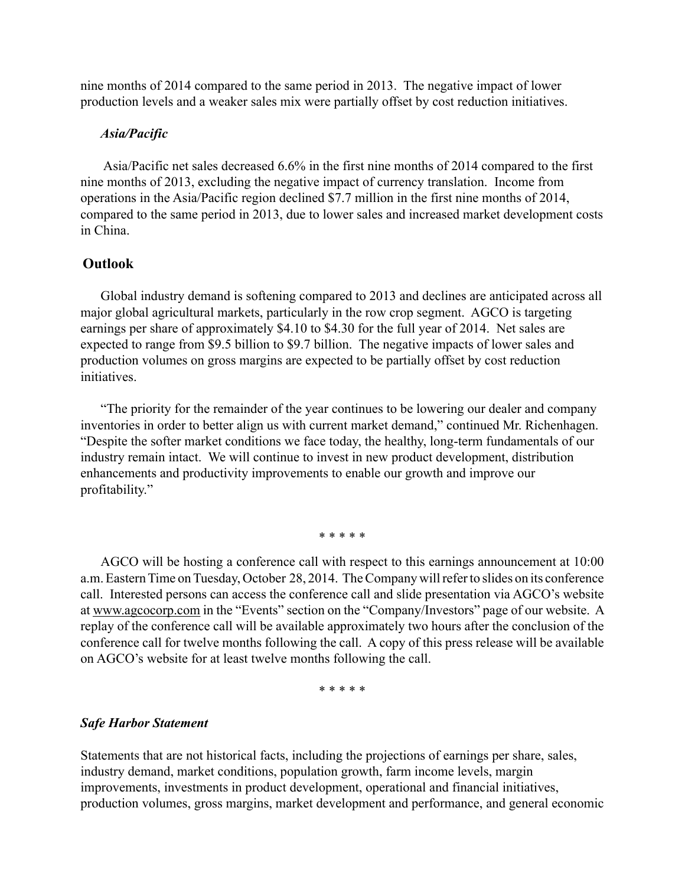nine months of 2014 compared to the same period in 2013. The negative impact of lower production levels and a weaker sales mix were partially offset by cost reduction initiatives.

### *Asia/Pacific*

Asia/Pacific net sales decreased 6.6% in the first nine months of 2014 compared to the first nine months of 2013, excluding the negative impact of currency translation. Income from operations in the Asia/Pacific region declined \$7.7 million in the first nine months of 2014, compared to the same period in 2013, due to lower sales and increased market development costs in China.

## **Outlook**

Global industry demand is softening compared to 2013 and declines are anticipated across all major global agricultural markets, particularly in the row crop segment. AGCO is targeting earnings per share of approximately \$4.10 to \$4.30 for the full year of 2014. Net sales are expected to range from \$9.5 billion to \$9.7 billion. The negative impacts of lower sales and production volumes on gross margins are expected to be partially offset by cost reduction initiatives.

"The priority for the remainder of the year continues to be lowering our dealer and company inventories in order to better align us with current market demand," continued Mr. Richenhagen. "Despite the softer market conditions we face today, the healthy, long-term fundamentals of our industry remain intact. We will continue to invest in new product development, distribution enhancements and productivity improvements to enable our growth and improve our profitability."

\* \* \* \* \*

AGCO will be hosting a conference call with respect to this earnings announcement at 10:00 a.m. Eastern Time on Tuesday, October 28, 2014. The Company will refer to slides on its conference call. Interested persons can access the conference call and slide presentation via AGCO's website at www.agcocorp.com in the "Events" section on the "Company/Investors" page of our website. A replay of the conference call will be available approximately two hours after the conclusion of the conference call for twelve months following the call. A copy of this press release will be available on AGCO's website for at least twelve months following the call.

\* \* \* \* \*

## *Safe Harbor Statement*

Statements that are not historical facts, including the projections of earnings per share, sales, industry demand, market conditions, population growth, farm income levels, margin improvements, investments in product development, operational and financial initiatives, production volumes, gross margins, market development and performance, and general economic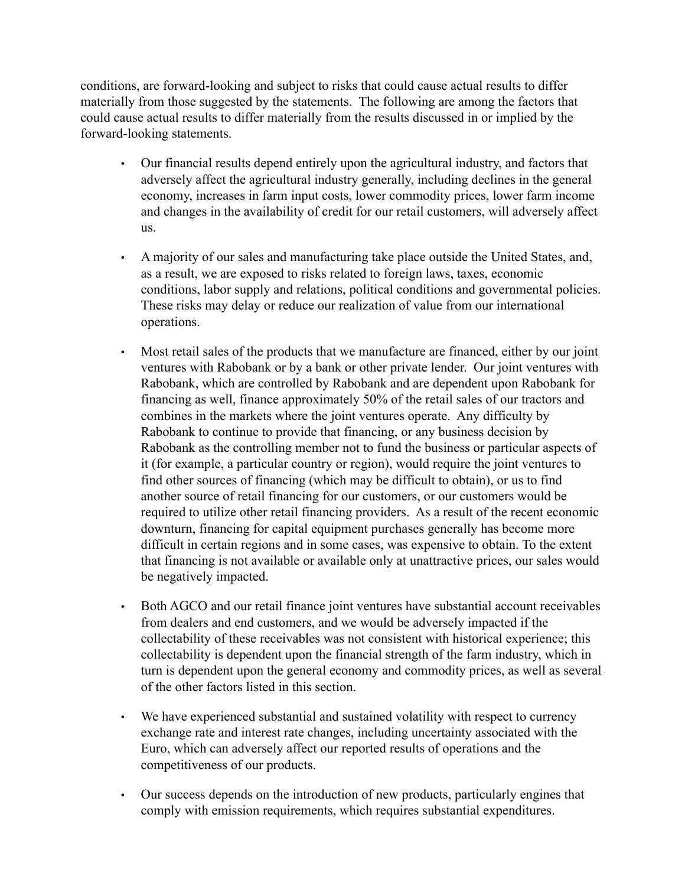conditions, are forward-looking and subject to risks that could cause actual results to differ materially from those suggested by the statements. The following are among the factors that could cause actual results to differ materially from the results discussed in or implied by the forward-looking statements.

- Our financial results depend entirely upon the agricultural industry, and factors that adversely affect the agricultural industry generally, including declines in the general economy, increases in farm input costs, lower commodity prices, lower farm income and changes in the availability of credit for our retail customers, will adversely affect us.
- A majority of our sales and manufacturing take place outside the United States, and, as a result, we are exposed to risks related to foreign laws, taxes, economic conditions, labor supply and relations, political conditions and governmental policies. These risks may delay or reduce our realization of value from our international operations.
- Most retail sales of the products that we manufacture are financed, either by our joint ventures with Rabobank or by a bank or other private lender. Our joint ventures with Rabobank, which are controlled by Rabobank and are dependent upon Rabobank for financing as well, finance approximately 50% of the retail sales of our tractors and combines in the markets where the joint ventures operate. Any difficulty by Rabobank to continue to provide that financing, or any business decision by Rabobank as the controlling member not to fund the business or particular aspects of it (for example, a particular country or region), would require the joint ventures to find other sources of financing (which may be difficult to obtain), or us to find another source of retail financing for our customers, or our customers would be required to utilize other retail financing providers. As a result of the recent economic downturn, financing for capital equipment purchases generally has become more difficult in certain regions and in some cases, was expensive to obtain. To the extent that financing is not available or available only at unattractive prices, our sales would be negatively impacted.
- Both AGCO and our retail finance joint ventures have substantial account receivables from dealers and end customers, and we would be adversely impacted if the collectability of these receivables was not consistent with historical experience; this collectability is dependent upon the financial strength of the farm industry, which in turn is dependent upon the general economy and commodity prices, as well as several of the other factors listed in this section.
- We have experienced substantial and sustained volatility with respect to currency exchange rate and interest rate changes, including uncertainty associated with the Euro, which can adversely affect our reported results of operations and the competitiveness of our products.
- Our success depends on the introduction of new products, particularly engines that comply with emission requirements, which requires substantial expenditures.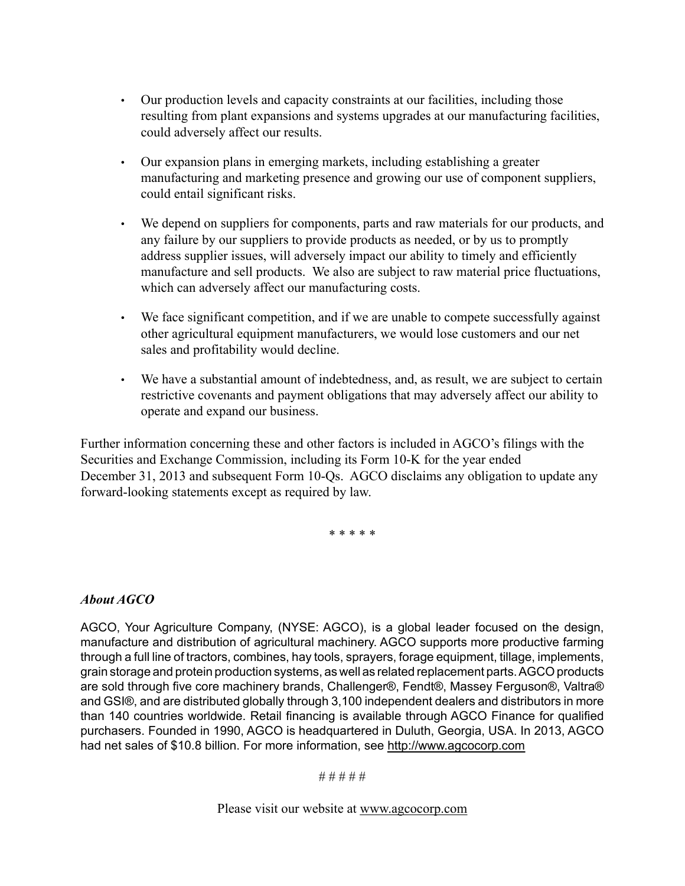- Our production levels and capacity constraints at our facilities, including those resulting from plant expansions and systems upgrades at our manufacturing facilities, could adversely affect our results.
- Our expansion plans in emerging markets, including establishing a greater manufacturing and marketing presence and growing our use of component suppliers, could entail significant risks.
- We depend on suppliers for components, parts and raw materials for our products, and any failure by our suppliers to provide products as needed, or by us to promptly address supplier issues, will adversely impact our ability to timely and efficiently manufacture and sell products. We also are subject to raw material price fluctuations, which can adversely affect our manufacturing costs.
- We face significant competition, and if we are unable to compete successfully against other agricultural equipment manufacturers, we would lose customers and our net sales and profitability would decline.
- We have a substantial amount of indebtedness, and, as result, we are subject to certain restrictive covenants and payment obligations that may adversely affect our ability to operate and expand our business.

Further information concerning these and other factors is included in AGCO's filings with the Securities and Exchange Commission, including its Form 10-K for the year ended December 31, 2013 and subsequent Form 10-Qs. AGCO disclaims any obligation to update any forward-looking statements except as required by law.

\* \* \* \* \*

# *About AGCO*

AGCO, Your Agriculture Company, (NYSE: AGCO), is a global leader focused on the design, manufacture and distribution of agricultural machinery. AGCO supports more productive farming through a full line of tractors, combines, hay tools, sprayers, forage equipment, tillage, implements, grain storage and protein production systems, as well as related replacement parts. AGCO products are sold through five core machinery brands, Challenger®, Fendt®, Massey Ferguson®, Valtra® and GSI®, and are distributed globally through 3,100 independent dealers and distributors in more than 140 countries worldwide. Retail financing is available through AGCO Finance for qualified purchasers. Founded in 1990, AGCO is headquartered in Duluth, Georgia, USA. In 2013, AGCO had net sales of \$10.8 billion. For more information, see http://www.agcocorp.com

# # # # #

Please visit our website at www.agcocorp.com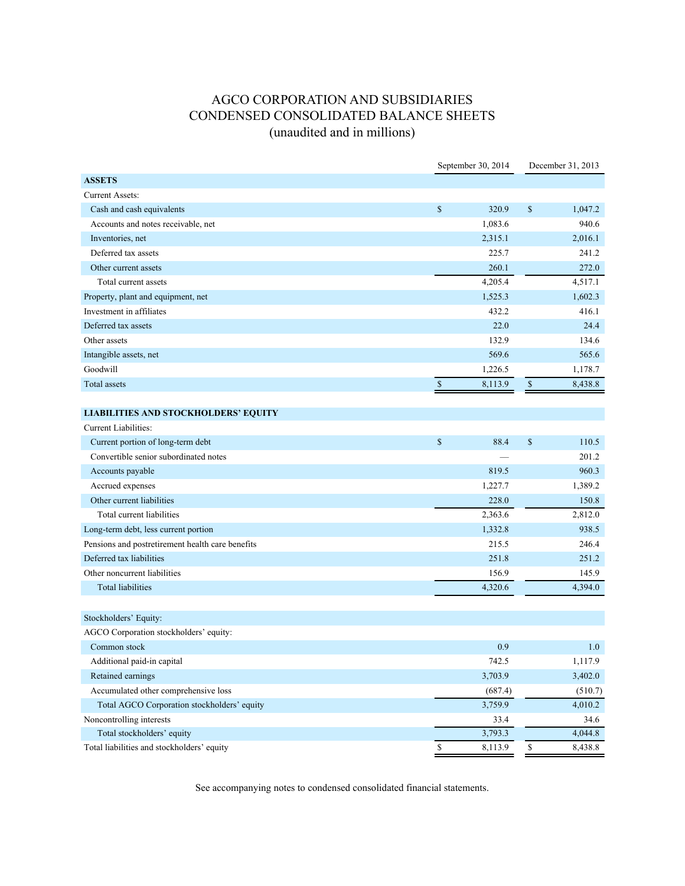# AGCO CORPORATION AND SUBSIDIARIES CONDENSED CONSOLIDATED BALANCE SHEETS (unaudited and in millions)

|                                                  | September 30, 2014 |         |              | December 31, 2013 |
|--------------------------------------------------|--------------------|---------|--------------|-------------------|
| <b>ASSETS</b>                                    |                    |         |              |                   |
| Current Assets:                                  |                    |         |              |                   |
| Cash and cash equivalents                        | $\mathbb{S}$       | 320.9   | $\mathbb{S}$ | 1,047.2           |
| Accounts and notes receivable, net               |                    | 1,083.6 |              | 940.6             |
| Inventories, net                                 |                    | 2,315.1 |              | 2,016.1           |
| Deferred tax assets                              |                    | 225.7   |              | 241.2             |
| Other current assets                             |                    | 260.1   |              | 272.0             |
| Total current assets                             |                    | 4,205.4 |              | 4,517.1           |
| Property, plant and equipment, net               |                    | 1,525.3 |              | 1,602.3           |
| Investment in affiliates                         |                    | 432.2   |              | 416.1             |
| Deferred tax assets                              |                    | 22.0    |              | 24.4              |
| Other assets                                     |                    | 132.9   |              | 134.6             |
| Intangible assets, net                           |                    | 569.6   |              | 565.6             |
| Goodwill                                         |                    | 1,226.5 |              | 1,178.7           |
| Total assets                                     | $\mathbb S$        | 8,113.9 | $\mathbb{S}$ | 8,438.8           |
|                                                  |                    |         |              |                   |
| <b>LIABILITIES AND STOCKHOLDERS' EQUITY</b>      |                    |         |              |                   |
| <b>Current Liabilities:</b>                      |                    |         |              |                   |
| Current portion of long-term debt                | $\mathbb{S}$       | 88.4    | $\$$         | 110.5             |
| Convertible senior subordinated notes            |                    |         |              | 201.2             |
| Accounts payable                                 |                    | 819.5   |              | 960.3             |
| Accrued expenses                                 |                    | 1,227.7 |              | 1,389.2           |
| Other current liabilities                        |                    | 228.0   |              | 150.8             |
| Total current liabilities                        |                    | 2,363.6 |              | 2,812.0           |
| Long-term debt, less current portion             |                    | 1,332.8 |              | 938.5             |
| Pensions and postretirement health care benefits |                    | 215.5   |              | 246.4             |
| Deferred tax liabilities                         |                    | 251.8   |              | 251.2             |
| Other noncurrent liabilities                     |                    | 156.9   |              | 145.9             |
| <b>Total liabilities</b>                         |                    | 4,320.6 |              | 4,394.0           |
|                                                  |                    |         |              |                   |
| Stockholders' Equity:                            |                    |         |              |                   |
| AGCO Corporation stockholders' equity:           |                    |         |              |                   |
| Common stock                                     |                    | 0.9     |              | 1.0               |
| Additional paid-in capital                       |                    | 742.5   |              | 1,117.9           |
| Retained earnings                                |                    | 3,703.9 |              | 3,402.0           |
| Accumulated other comprehensive loss             |                    | (687.4) |              | (510.7)           |
| Total AGCO Corporation stockholders' equity      |                    | 3,759.9 |              | 4,010.2           |
| Noncontrolling interests                         |                    | 33.4    |              | 34.6              |
| Total stockholders' equity                       |                    | 3,793.3 |              | 4,044.8           |
| Total liabilities and stockholders' equity       | $\mathbb{S}$       | 8,113.9 | $\mathbb S$  | 8,438.8           |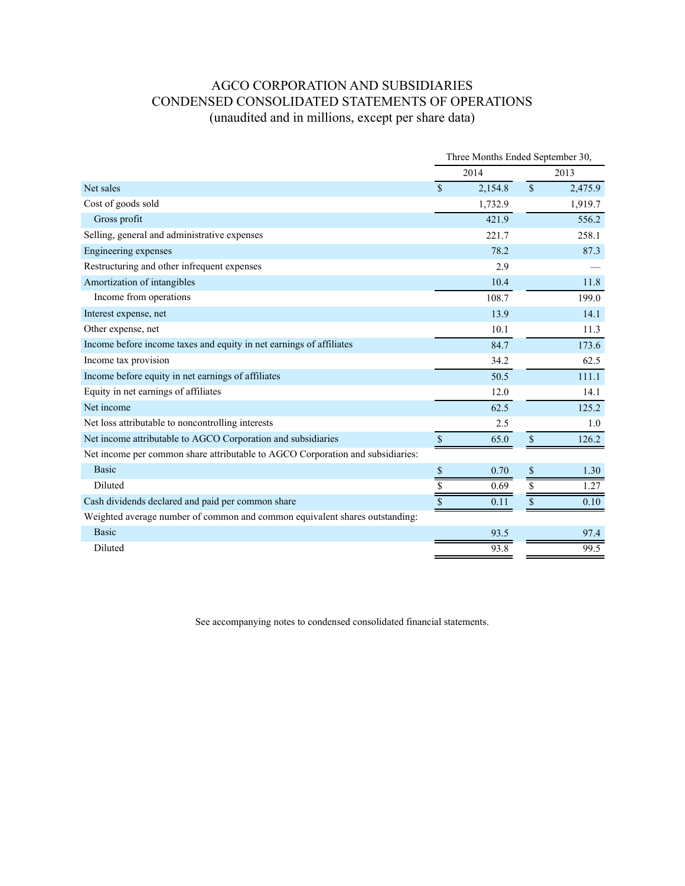## AGCO CORPORATION AND SUBSIDIARIES CONDENSED CONSOLIDATED STATEMENTS OF OPERATIONS (unaudited and in millions, except per share data)

|                                                                                | Three Months Ended September 30, |         |             |         |  |  |
|--------------------------------------------------------------------------------|----------------------------------|---------|-------------|---------|--|--|
|                                                                                |                                  | 2014    |             | 2013    |  |  |
| Net sales                                                                      | $\mathbf S$                      | 2,154.8 | $\mathbf S$ | 2,475.9 |  |  |
| Cost of goods sold                                                             |                                  | 1,732.9 |             | 1,919.7 |  |  |
| Gross profit                                                                   |                                  | 421.9   |             | 556.2   |  |  |
| Selling, general and administrative expenses                                   |                                  | 221.7   |             | 258.1   |  |  |
| Engineering expenses                                                           |                                  | 78.2    |             | 87.3    |  |  |
| Restructuring and other infrequent expenses                                    |                                  | 2.9     |             |         |  |  |
| Amortization of intangibles                                                    |                                  | 10.4    |             | 11.8    |  |  |
| Income from operations                                                         |                                  | 108.7   |             | 199.0   |  |  |
| Interest expense, net                                                          |                                  | 13.9    |             | 14.1    |  |  |
| Other expense, net                                                             |                                  | 10.1    |             | 11.3    |  |  |
| Income before income taxes and equity in net earnings of affiliates            |                                  | 84.7    |             | 173.6   |  |  |
| Income tax provision                                                           |                                  | 34.2    |             | 62.5    |  |  |
| Income before equity in net earnings of affiliates                             |                                  | 50.5    |             | 111.1   |  |  |
| Equity in net earnings of affiliates                                           |                                  | 12.0    |             | 14.1    |  |  |
| Net income                                                                     |                                  | 62.5    |             | 125.2   |  |  |
| Net loss attributable to noncontrolling interests                              |                                  | 2.5     |             | 1.0     |  |  |
| Net income attributable to AGCO Corporation and subsidiaries                   | \$                               | 65.0    | \$          | 126.2   |  |  |
| Net income per common share attributable to AGCO Corporation and subsidiaries: |                                  |         |             |         |  |  |
| <b>Basic</b>                                                                   | \$                               | 0.70    | $\mathbb S$ | 1.30    |  |  |
| Diluted                                                                        | \$                               | 0.69    | \$          | 1.27    |  |  |
| Cash dividends declared and paid per common share                              | \$                               | 0.11    | \$          | 0.10    |  |  |
| Weighted average number of common and common equivalent shares outstanding:    |                                  |         |             |         |  |  |
| <b>Basic</b>                                                                   |                                  | 93.5    |             | 97.4    |  |  |
| Diluted                                                                        |                                  | 93.8    |             | 99.5    |  |  |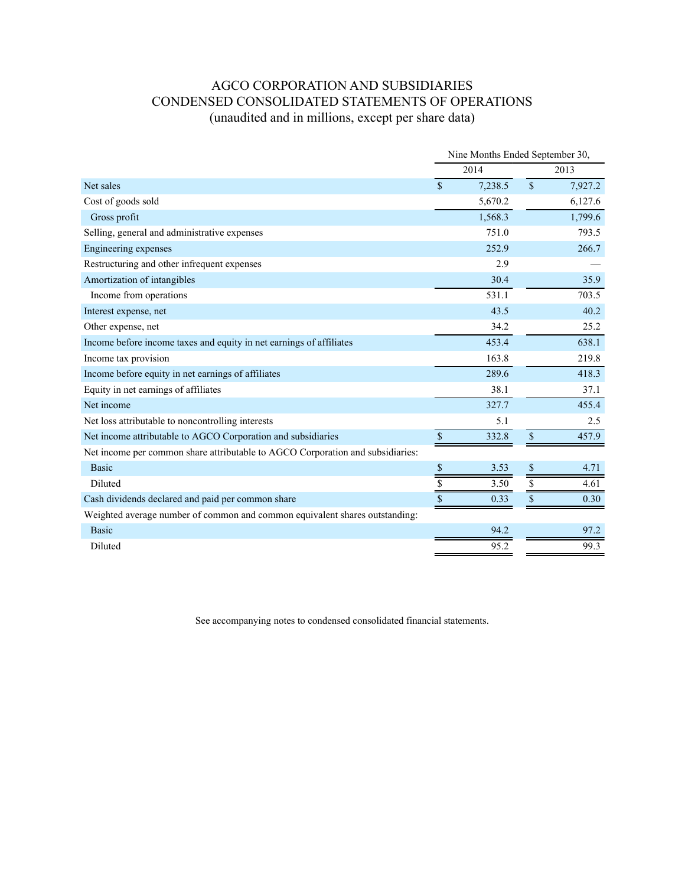# AGCO CORPORATION AND SUBSIDIARIES CONDENSED CONSOLIDATED STATEMENTS OF OPERATIONS (unaudited and in millions, except per share data)

| 2014<br>2013<br>$\mathcal{S}$<br>\$<br>7,238.5<br>7,927.2<br>Net sales<br>Cost of goods sold<br>5,670.2<br>6,127.6<br>1,568.3<br>1,799.6<br>Gross profit<br>751.0<br>793.5<br>Selling, general and administrative expenses<br>266.7<br>Engineering expenses<br>252.9<br>Restructuring and other infrequent expenses<br>2.9<br>Amortization of intangibles<br>30.4<br>35.9<br>703.5<br>531.1<br>Income from operations<br>43.5<br>40.2<br>Interest expense, net<br>25.2<br>Other expense, net<br>34.2<br>453.4<br>638.1<br>Income before income taxes and equity in net earnings of affiliates<br>163.8<br>219.8<br>Income tax provision<br>418.3<br>Income before equity in net earnings of affiliates<br>289.6<br>Equity in net earnings of affiliates<br>38.1<br>37.1<br>455.4<br>Net income<br>327.7<br>2.5<br>Net loss attributable to noncontrolling interests<br>5.1<br>$\mathbb{S}$<br>\$<br>457.9<br>Net income attributable to AGCO Corporation and subsidiaries<br>332.8<br>Net income per common share attributable to AGCO Corporation and subsidiaries:<br><b>Basic</b><br>\$<br>\$<br>3.53<br>4.71<br>\$<br>\$<br>Diluted<br>3.50<br>4.61<br>Cash dividends declared and paid per common share<br>\$<br>0.33<br>\$<br>0.30<br>Weighted average number of common and common equivalent shares outstanding:<br>97.2<br><b>Basic</b><br>94.2<br>95.2<br>99.3<br>Diluted |  | Nine Months Ended September 30, |  |
|------------------------------------------------------------------------------------------------------------------------------------------------------------------------------------------------------------------------------------------------------------------------------------------------------------------------------------------------------------------------------------------------------------------------------------------------------------------------------------------------------------------------------------------------------------------------------------------------------------------------------------------------------------------------------------------------------------------------------------------------------------------------------------------------------------------------------------------------------------------------------------------------------------------------------------------------------------------------------------------------------------------------------------------------------------------------------------------------------------------------------------------------------------------------------------------------------------------------------------------------------------------------------------------------------------------------------------------------------------------------------------|--|---------------------------------|--|
|                                                                                                                                                                                                                                                                                                                                                                                                                                                                                                                                                                                                                                                                                                                                                                                                                                                                                                                                                                                                                                                                                                                                                                                                                                                                                                                                                                                    |  |                                 |  |
|                                                                                                                                                                                                                                                                                                                                                                                                                                                                                                                                                                                                                                                                                                                                                                                                                                                                                                                                                                                                                                                                                                                                                                                                                                                                                                                                                                                    |  |                                 |  |
|                                                                                                                                                                                                                                                                                                                                                                                                                                                                                                                                                                                                                                                                                                                                                                                                                                                                                                                                                                                                                                                                                                                                                                                                                                                                                                                                                                                    |  |                                 |  |
|                                                                                                                                                                                                                                                                                                                                                                                                                                                                                                                                                                                                                                                                                                                                                                                                                                                                                                                                                                                                                                                                                                                                                                                                                                                                                                                                                                                    |  |                                 |  |
|                                                                                                                                                                                                                                                                                                                                                                                                                                                                                                                                                                                                                                                                                                                                                                                                                                                                                                                                                                                                                                                                                                                                                                                                                                                                                                                                                                                    |  |                                 |  |
|                                                                                                                                                                                                                                                                                                                                                                                                                                                                                                                                                                                                                                                                                                                                                                                                                                                                                                                                                                                                                                                                                                                                                                                                                                                                                                                                                                                    |  |                                 |  |
|                                                                                                                                                                                                                                                                                                                                                                                                                                                                                                                                                                                                                                                                                                                                                                                                                                                                                                                                                                                                                                                                                                                                                                                                                                                                                                                                                                                    |  |                                 |  |
|                                                                                                                                                                                                                                                                                                                                                                                                                                                                                                                                                                                                                                                                                                                                                                                                                                                                                                                                                                                                                                                                                                                                                                                                                                                                                                                                                                                    |  |                                 |  |
|                                                                                                                                                                                                                                                                                                                                                                                                                                                                                                                                                                                                                                                                                                                                                                                                                                                                                                                                                                                                                                                                                                                                                                                                                                                                                                                                                                                    |  |                                 |  |
|                                                                                                                                                                                                                                                                                                                                                                                                                                                                                                                                                                                                                                                                                                                                                                                                                                                                                                                                                                                                                                                                                                                                                                                                                                                                                                                                                                                    |  |                                 |  |
|                                                                                                                                                                                                                                                                                                                                                                                                                                                                                                                                                                                                                                                                                                                                                                                                                                                                                                                                                                                                                                                                                                                                                                                                                                                                                                                                                                                    |  |                                 |  |
|                                                                                                                                                                                                                                                                                                                                                                                                                                                                                                                                                                                                                                                                                                                                                                                                                                                                                                                                                                                                                                                                                                                                                                                                                                                                                                                                                                                    |  |                                 |  |
|                                                                                                                                                                                                                                                                                                                                                                                                                                                                                                                                                                                                                                                                                                                                                                                                                                                                                                                                                                                                                                                                                                                                                                                                                                                                                                                                                                                    |  |                                 |  |
|                                                                                                                                                                                                                                                                                                                                                                                                                                                                                                                                                                                                                                                                                                                                                                                                                                                                                                                                                                                                                                                                                                                                                                                                                                                                                                                                                                                    |  |                                 |  |
|                                                                                                                                                                                                                                                                                                                                                                                                                                                                                                                                                                                                                                                                                                                                                                                                                                                                                                                                                                                                                                                                                                                                                                                                                                                                                                                                                                                    |  |                                 |  |
|                                                                                                                                                                                                                                                                                                                                                                                                                                                                                                                                                                                                                                                                                                                                                                                                                                                                                                                                                                                                                                                                                                                                                                                                                                                                                                                                                                                    |  |                                 |  |
|                                                                                                                                                                                                                                                                                                                                                                                                                                                                                                                                                                                                                                                                                                                                                                                                                                                                                                                                                                                                                                                                                                                                                                                                                                                                                                                                                                                    |  |                                 |  |
|                                                                                                                                                                                                                                                                                                                                                                                                                                                                                                                                                                                                                                                                                                                                                                                                                                                                                                                                                                                                                                                                                                                                                                                                                                                                                                                                                                                    |  |                                 |  |
|                                                                                                                                                                                                                                                                                                                                                                                                                                                                                                                                                                                                                                                                                                                                                                                                                                                                                                                                                                                                                                                                                                                                                                                                                                                                                                                                                                                    |  |                                 |  |
|                                                                                                                                                                                                                                                                                                                                                                                                                                                                                                                                                                                                                                                                                                                                                                                                                                                                                                                                                                                                                                                                                                                                                                                                                                                                                                                                                                                    |  |                                 |  |
|                                                                                                                                                                                                                                                                                                                                                                                                                                                                                                                                                                                                                                                                                                                                                                                                                                                                                                                                                                                                                                                                                                                                                                                                                                                                                                                                                                                    |  |                                 |  |
|                                                                                                                                                                                                                                                                                                                                                                                                                                                                                                                                                                                                                                                                                                                                                                                                                                                                                                                                                                                                                                                                                                                                                                                                                                                                                                                                                                                    |  |                                 |  |
|                                                                                                                                                                                                                                                                                                                                                                                                                                                                                                                                                                                                                                                                                                                                                                                                                                                                                                                                                                                                                                                                                                                                                                                                                                                                                                                                                                                    |  |                                 |  |
|                                                                                                                                                                                                                                                                                                                                                                                                                                                                                                                                                                                                                                                                                                                                                                                                                                                                                                                                                                                                                                                                                                                                                                                                                                                                                                                                                                                    |  |                                 |  |
|                                                                                                                                                                                                                                                                                                                                                                                                                                                                                                                                                                                                                                                                                                                                                                                                                                                                                                                                                                                                                                                                                                                                                                                                                                                                                                                                                                                    |  |                                 |  |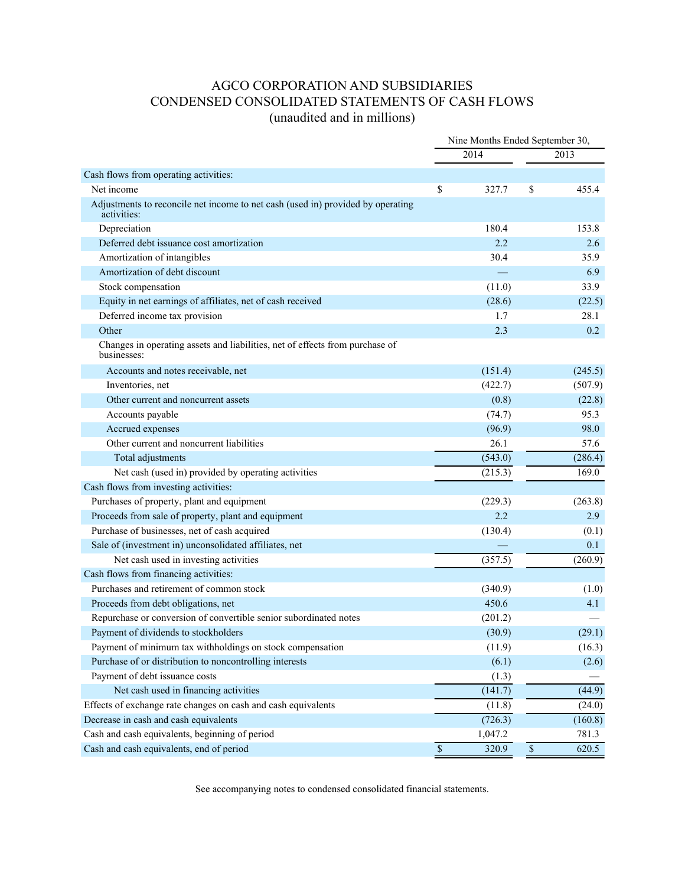# AGCO CORPORATION AND SUBSIDIARIES CONDENSED CONSOLIDATED STATEMENTS OF CASH FLOWS (unaudited and in millions)

|                                                                                                |            | Nine Months Ended September 30, |            |         |
|------------------------------------------------------------------------------------------------|------------|---------------------------------|------------|---------|
|                                                                                                |            | 2014                            |            | 2013    |
| Cash flows from operating activities:                                                          |            |                                 |            |         |
| Net income                                                                                     | \$         | 327.7                           | \$         | 455.4   |
| Adjustments to reconcile net income to net cash (used in) provided by operating<br>activities: |            |                                 |            |         |
| Depreciation                                                                                   |            | 180.4                           |            | 153.8   |
| Deferred debt issuance cost amortization                                                       |            | 2.2                             |            | 2.6     |
| Amortization of intangibles                                                                    |            | 30.4                            |            | 35.9    |
| Amortization of debt discount                                                                  |            |                                 |            | 6.9     |
| Stock compensation                                                                             |            | (11.0)                          |            | 33.9    |
| Equity in net earnings of affiliates, net of cash received                                     |            | (28.6)                          |            | (22.5)  |
| Deferred income tax provision                                                                  |            | 1.7                             |            | 28.1    |
| Other                                                                                          |            | 2.3                             |            | 0.2     |
| Changes in operating assets and liabilities, net of effects from purchase of<br>businesses:    |            |                                 |            |         |
| Accounts and notes receivable, net                                                             |            | (151.4)                         |            | (245.5) |
| Inventories, net                                                                               |            | (422.7)                         |            | (507.9) |
| Other current and noncurrent assets                                                            |            | (0.8)                           |            | (22.8)  |
| Accounts payable                                                                               |            | (74.7)                          |            | 95.3    |
| Accrued expenses                                                                               |            | (96.9)                          |            | 98.0    |
| Other current and noncurrent liabilities                                                       |            | 26.1                            |            | 57.6    |
| Total adjustments                                                                              |            | (543.0)                         |            | (286.4) |
| Net cash (used in) provided by operating activities                                            |            | (215.3)                         |            | 169.0   |
| Cash flows from investing activities:                                                          |            |                                 |            |         |
| Purchases of property, plant and equipment                                                     |            | (229.3)                         |            | (263.8) |
| Proceeds from sale of property, plant and equipment                                            |            | 2.2                             |            | 2.9     |
| Purchase of businesses, net of cash acquired                                                   |            | (130.4)                         |            | (0.1)   |
| Sale of (investment in) unconsolidated affiliates, net                                         |            |                                 |            | 0.1     |
| Net cash used in investing activities                                                          |            | (357.5)                         |            | (260.9) |
| Cash flows from financing activities:                                                          |            |                                 |            |         |
| Purchases and retirement of common stock                                                       |            | (340.9)                         |            | (1.0)   |
| Proceeds from debt obligations, net                                                            |            | 450.6                           |            | 4.1     |
| Repurchase or conversion of convertible senior subordinated notes                              |            | (201.2)                         |            |         |
| Payment of dividends to stockholders                                                           |            | (30.9)                          |            | (29.1)  |
| Payment of minimum tax withholdings on stock compensation                                      |            | (11.9)                          |            | (16.3)  |
| Purchase of or distribution to noncontrolling interests                                        |            | (6.1)                           |            | (2.6)   |
| Payment of debt issuance costs                                                                 |            | (1.3)                           |            |         |
| Net cash used in financing activities                                                          |            | (141.7)                         |            | (44.9)  |
| Effects of exchange rate changes on cash and cash equivalents                                  |            | (11.8)                          |            | (24.0)  |
| Decrease in cash and cash equivalents                                                          |            | (726.3)                         |            | (160.8) |
| Cash and cash equivalents, beginning of period                                                 |            | 1,047.2                         |            | 781.3   |
| Cash and cash equivalents, end of period                                                       | $\sqrt{s}$ | 320.9                           | $\sqrt{s}$ | 620.5   |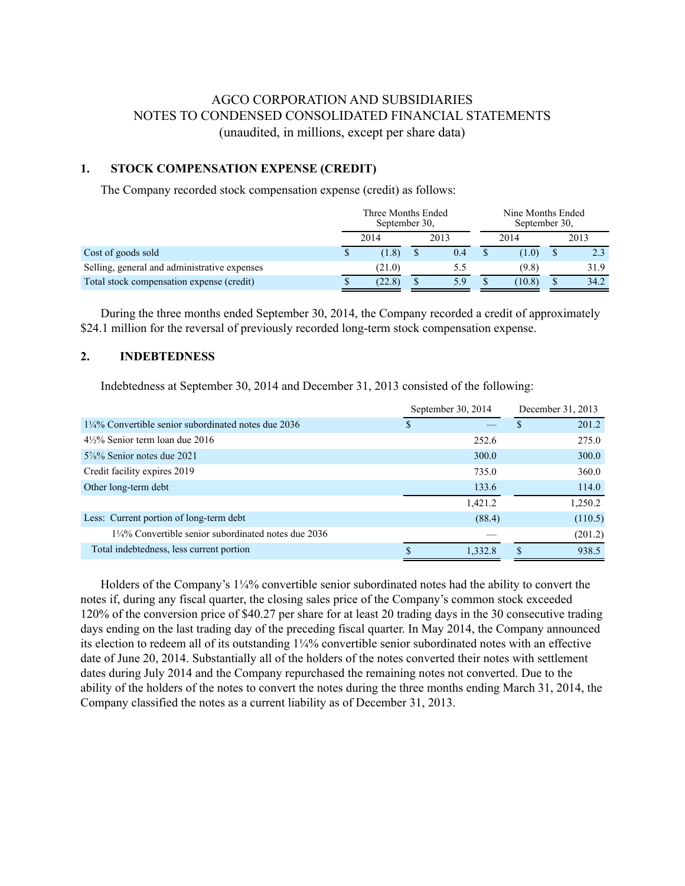# AGCO CORPORATION AND SUBSIDIARIES NOTES TO CONDENSED CONSOLIDATED FINANCIAL STATEMENTS (unaudited, in millions, except per share data)

## **1. STOCK COMPENSATION EXPENSE (CREDIT)**

The Company recorded stock compensation expense (credit) as follows:

|                                              | Three Months Ended<br>September 30. |        |  |      |  | Nine Months Ended<br>September 30. |  |      |
|----------------------------------------------|-------------------------------------|--------|--|------|--|------------------------------------|--|------|
|                                              |                                     | 2014   |  | 2013 |  | 2014                               |  | 2013 |
| Cost of goods sold                           |                                     | (1.8)  |  | 0.4  |  | (1.0)                              |  |      |
| Selling, general and administrative expenses |                                     | (21.0) |  |      |  | (9.8)                              |  | 31.9 |
| Total stock compensation expense (credit)    |                                     | (22.8) |  | 5.9  |  | (10.8)                             |  | 34.2 |

During the three months ended September 30, 2014, the Company recorded a credit of approximately \$24.1 million for the reversal of previously recorded long-term stock compensation expense.

### **2. INDEBTEDNESS**

Indebtedness at September 30, 2014 and December 31, 2013 consisted of the following:

|                                                                 | September 30, 2014 | December 31, 2013 |
|-----------------------------------------------------------------|--------------------|-------------------|
| $1\frac{1}{4}\%$ Convertible senior subordinated notes due 2036 |                    | 201.2             |
| $4\frac{1}{2}\%$ Senior term loan due 2016                      | 252.6              | 275.0             |
| $5\frac{7}{8}$ % Senior notes due 2021                          | 300.0              | 300.0             |
| Credit facility expires 2019                                    | 735.0              | 360.0             |
| Other long-term debt                                            | 133.6              | 114.0             |
|                                                                 | 1,421.2            | 1,250.2           |
| Less: Current portion of long-term debt                         | (88.4)             | (110.5)           |
| $1\frac{1}{4}\%$ Convertible senior subordinated notes due 2036 |                    | (201.2)           |
| Total indebtedness, less current portion                        | 1,332.8            | 938.5             |

Holders of the Company's 1¼% convertible senior subordinated notes had the ability to convert the notes if, during any fiscal quarter, the closing sales price of the Company's common stock exceeded 120% of the conversion price of \$40.27 per share for at least 20 trading days in the 30 consecutive trading days ending on the last trading day of the preceding fiscal quarter. In May 2014, the Company announced its election to redeem all of its outstanding 1¼% convertible senior subordinated notes with an effective date of June 20, 2014. Substantially all of the holders of the notes converted their notes with settlement dates during July 2014 and the Company repurchased the remaining notes not converted. Due to the ability of the holders of the notes to convert the notes during the three months ending March 31, 2014, the Company classified the notes as a current liability as of December 31, 2013.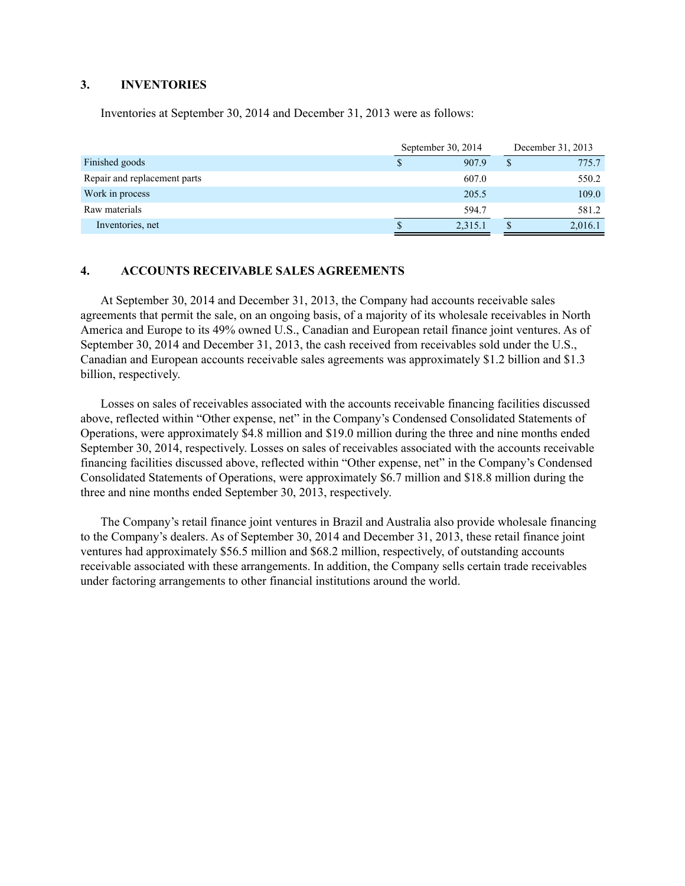#### **3. INVENTORIES**

Inventories at September 30, 2014 and December 31, 2013 were as follows:

|                              | September 30, 2014 | December 31, 2013 |
|------------------------------|--------------------|-------------------|
| Finished goods               | 907.9              | 775.7             |
| Repair and replacement parts | 607.0              | 550.2             |
| Work in process              | 205.5              | 109.0             |
| Raw materials                | 594.7              | 581.2             |
| Inventories, net             | 2,315.1            | 2,016.1           |

#### **4. ACCOUNTS RECEIVABLE SALES AGREEMENTS**

At September 30, 2014 and December 31, 2013, the Company had accounts receivable sales agreements that permit the sale, on an ongoing basis, of a majority of its wholesale receivables in North America and Europe to its 49% owned U.S., Canadian and European retail finance joint ventures. As of September 30, 2014 and December 31, 2013, the cash received from receivables sold under the U.S., Canadian and European accounts receivable sales agreements was approximately \$1.2 billion and \$1.3 billion, respectively.

Losses on sales of receivables associated with the accounts receivable financing facilities discussed above, reflected within "Other expense, net" in the Company's Condensed Consolidated Statements of Operations, were approximately \$4.8 million and \$19.0 million during the three and nine months ended September 30, 2014, respectively. Losses on sales of receivables associated with the accounts receivable financing facilities discussed above, reflected within "Other expense, net" in the Company's Condensed Consolidated Statements of Operations, were approximately \$6.7 million and \$18.8 million during the three and nine months ended September 30, 2013, respectively.

The Company's retail finance joint ventures in Brazil and Australia also provide wholesale financing to the Company's dealers. As of September 30, 2014 and December 31, 2013, these retail finance joint ventures had approximately \$56.5 million and \$68.2 million, respectively, of outstanding accounts receivable associated with these arrangements. In addition, the Company sells certain trade receivables under factoring arrangements to other financial institutions around the world.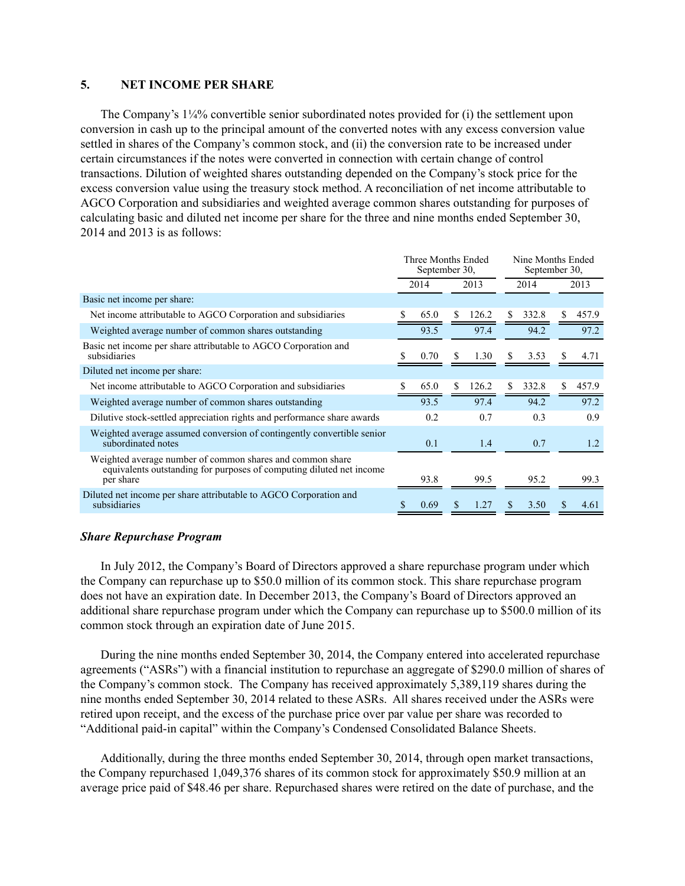#### **5. NET INCOME PER SHARE**

The Company's 1¼% convertible senior subordinated notes provided for (i) the settlement upon conversion in cash up to the principal amount of the converted notes with any excess conversion value settled in shares of the Company's common stock, and (ii) the conversion rate to be increased under certain circumstances if the notes were converted in connection with certain change of control transactions. Dilution of weighted shares outstanding depended on the Company's stock price for the excess conversion value using the treasury stock method. A reconciliation of net income attributable to AGCO Corporation and subsidiaries and weighted average common shares outstanding for purposes of calculating basic and diluted net income per share for the three and nine months ended September 30, 2014 and 2013 is as follows:

|                                                                                                                                                | Three Months Ended<br>September 30, |      |     |       |     |       | Nine Months Ended<br>September 30, |       |
|------------------------------------------------------------------------------------------------------------------------------------------------|-------------------------------------|------|-----|-------|-----|-------|------------------------------------|-------|
|                                                                                                                                                | 2013<br>2014<br>2014                |      |     | 2013  |     |       |                                    |       |
| Basic net income per share:                                                                                                                    |                                     |      |     |       |     |       |                                    |       |
| Net income attributable to AGCO Corporation and subsidiaries                                                                                   |                                     | 65.0 | S.  | 126.2 | \$. | 332.8 | S.                                 | 457.9 |
| Weighted average number of common shares outstanding                                                                                           |                                     | 93.5 |     | 97.4  |     | 94.2  |                                    | 97.2  |
| Basic net income per share attributable to AGCO Corporation and<br>subsidiaries                                                                |                                     | 0.70 | S.  | 1.30  | S   | 3.53  |                                    | 4.71  |
| Diluted net income per share:                                                                                                                  |                                     |      |     |       |     |       |                                    |       |
| Net income attributable to AGCO Corporation and subsidiaries                                                                                   |                                     | 65.0 | \$. | 126.2 | \$  | 332.8 | S                                  | 457.9 |
| Weighted average number of common shares outstanding                                                                                           |                                     | 93.5 |     | 97.4  |     | 94.2  |                                    | 97.2  |
| Dilutive stock-settled appreciation rights and performance share awards                                                                        |                                     | 0.2  |     | 0.7   |     | 0.3   |                                    | 0.9   |
| Weighted average assumed conversion of contingently convertible senior<br>subordinated notes                                                   |                                     | 0.1  |     | 1.4   |     | 0.7   |                                    | 1.2   |
| Weighted average number of common shares and common share<br>equivalents outstanding for purposes of computing diluted net income<br>per share |                                     | 93.8 |     | 99.5  |     | 95.2  |                                    | 99.3  |
| Diluted net income per share attributable to AGCO Corporation and<br>subsidiaries                                                              |                                     | 0.69 |     | 1.27  | S.  | 3.50  |                                    | 4.61  |

#### *Share Repurchase Program*

In July 2012, the Company's Board of Directors approved a share repurchase program under which the Company can repurchase up to \$50.0 million of its common stock. This share repurchase program does not have an expiration date. In December 2013, the Company's Board of Directors approved an additional share repurchase program under which the Company can repurchase up to \$500.0 million of its common stock through an expiration date of June 2015.

During the nine months ended September 30, 2014, the Company entered into accelerated repurchase agreements ("ASRs") with a financial institution to repurchase an aggregate of \$290.0 million of shares of the Company's common stock. The Company has received approximately 5,389,119 shares during the nine months ended September 30, 2014 related to these ASRs. All shares received under the ASRs were retired upon receipt, and the excess of the purchase price over par value per share was recorded to "Additional paid-in capital" within the Company's Condensed Consolidated Balance Sheets.

Additionally, during the three months ended September 30, 2014, through open market transactions, the Company repurchased 1,049,376 shares of its common stock for approximately \$50.9 million at an average price paid of \$48.46 per share. Repurchased shares were retired on the date of purchase, and the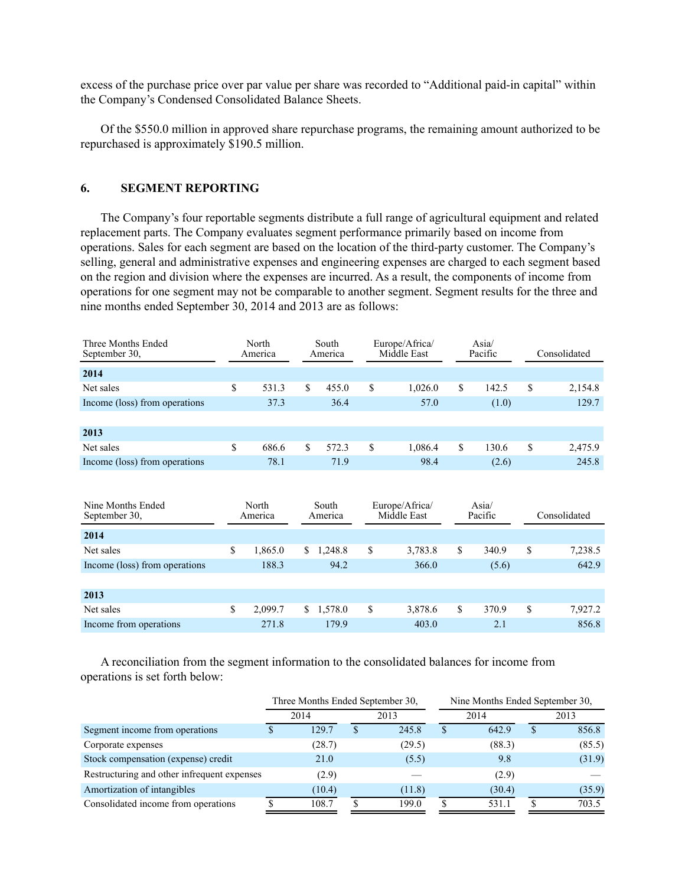excess of the purchase price over par value per share was recorded to "Additional paid-in capital" within the Company's Condensed Consolidated Balance Sheets.

Of the \$550.0 million in approved share repurchase programs, the remaining amount authorized to be repurchased is approximately \$190.5 million.

### **6. SEGMENT REPORTING**

The Company's four reportable segments distribute a full range of agricultural equipment and related replacement parts. The Company evaluates segment performance primarily based on income from operations. Sales for each segment are based on the location of the third-party customer. The Company's selling, general and administrative expenses and engineering expenses are charged to each segment based on the region and division where the expenses are incurred. As a result, the components of income from operations for one segment may not be comparable to another segment. Segment results for the three and nine months ended September 30, 2014 and 2013 are as follows:

| Three Months Ended<br>September 30, | North<br>America |                                                   | South<br>America | Europe/Africa/<br>Middle East |         | Asia/<br>Pacific           |       | Consolidated |         |
|-------------------------------------|------------------|---------------------------------------------------|------------------|-------------------------------|---------|----------------------------|-------|--------------|---------|
| 2014                                |                  |                                                   |                  |                               |         |                            |       |              |         |
| Net sales                           | \$<br>531.3      | \$                                                | 455.0            | \$                            | 1,026.0 | \$                         | 142.5 | \$           | 2,154.8 |
| Income (loss) from operations       | 37.3             |                                                   | 36.4             |                               | 57.0    |                            | (1.0) |              | 129.7   |
|                                     |                  |                                                   |                  |                               |         |                            |       |              |         |
| 2013                                |                  |                                                   |                  |                               |         |                            |       |              |         |
| Net sales                           | \$<br>686.6      | \$                                                | 572.3            | \$                            | 1,086.4 | \$                         | 130.6 | \$           | 2,475.9 |
| Income (loss) from operations       | 78.1             |                                                   | 71.9             |                               | 98.4    |                            | (2.6) |              | 245.8   |
|                                     |                  |                                                   |                  |                               |         |                            |       |              |         |
| Nine Months Ended<br>September 30,  | North<br>America | South<br>Europe/Africa/<br>Middle East<br>America |                  |                               |         | Asia $\sqrt{ }$<br>Pacific |       | Consolidated |         |
| 2014                                |                  |                                                   |                  |                               |         |                            |       |              |         |
| Net sales                           | \$<br>1,865.0    | S.                                                | 1,248.8          | \$                            | 3,783.8 | \$                         | 340.9 | \$           | 7,238.5 |
| Income (loss) from operations       | 188.3            |                                                   | 94.2             |                               | 366.0   |                            | (5.6) |              | 642.9   |
|                                     |                  |                                                   |                  |                               |         |                            |       |              |         |
| 2013                                |                  |                                                   |                  |                               |         |                            |       |              |         |
| Net sales                           | \$<br>2,099.7    | S.                                                | 1,578.0          | \$                            | 3,878.6 | \$                         | 370.9 | \$           | 7,927.2 |
| Income from operations              | 271.8            |                                                   | 179.9            |                               | 403.0   |                            | 2.1   |              | 856.8   |

A reconciliation from the segment information to the consolidated balances for income from operations is set forth below:

|                                             | Three Months Ended September 30, |       |        |     | Nine Months Ended September 30, |        |        |  |  |  |
|---------------------------------------------|----------------------------------|-------|--------|-----|---------------------------------|--------|--------|--|--|--|
|                                             | 2014                             |       | 2013   |     | 2014                            |        | 2013   |  |  |  |
| Segment income from operations              | 129.7                            |       | 245.8  | S   | 642.9                           | S      | 856.8  |  |  |  |
| Corporate expenses                          | (28.7)                           |       | (29.5) |     | (88.3)                          |        | (85.5) |  |  |  |
| Stock compensation (expense) credit         | 21.0                             | (5.5) |        | 9.8 |                                 | (31.9) |        |  |  |  |
| Restructuring and other infrequent expenses | (2.9)                            |       |        |     | (2.9)                           |        |        |  |  |  |
| Amortization of intangibles                 | (10.4)                           |       | (11.8) |     | (30.4)                          |        | (35.9) |  |  |  |
| Consolidated income from operations         | 108.7                            |       | 199.0  |     | 531.1                           |        | 703.5  |  |  |  |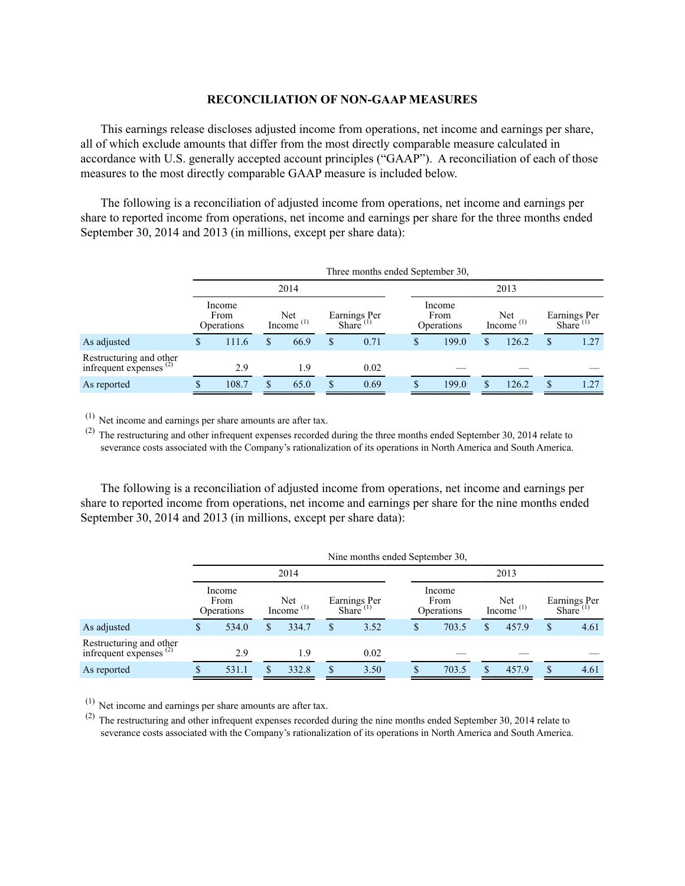#### **RECONCILIATION OF NON-GAAP MEASURES**

This earnings release discloses adjusted income from operations, net income and earnings per share, all of which exclude amounts that differ from the most directly comparable measure calculated in accordance with U.S. generally accepted account principles ("GAAP"). A reconciliation of each of those measures to the most directly comparable GAAP measure is included below.

The following is a reconciliation of adjusted income from operations, net income and earnings per share to reported income from operations, net income and earnings per share for the three months ended September 30, 2014 and 2013 (in millions, except per share data):

|                                                      | Three months ended September 30, |       |                     |      |                             |      |                              |       |                     |       |                             |      |  |  |
|------------------------------------------------------|----------------------------------|-------|---------------------|------|-----------------------------|------|------------------------------|-------|---------------------|-------|-----------------------------|------|--|--|
|                                                      | 2014                             |       |                     |      |                             |      |                              | 2013  |                     |       |                             |      |  |  |
|                                                      | Income<br>From<br>Operations     |       | Net<br>Income $(1)$ |      | Earnings Per<br>Share $(1)$ |      | Income<br>From<br>Operations |       | Net<br>Income $(1)$ |       | Earnings Per<br>Share $(1)$ |      |  |  |
| As adjusted                                          | \$                               | 111.6 | S                   | 66.9 | \$<br>0.71                  |      | \$                           | 199.0 | \$                  | 126.2 | \$                          | 1.27 |  |  |
| Restructuring and other<br>infrequent expenses $(2)$ |                                  | 2.9   |                     | 1.9  |                             | 0.02 |                              |       |                     |       |                             |      |  |  |
| As reported                                          |                                  | 108.7 |                     | 65.0 | S                           | 0.69 |                              | 199.0 | \$                  | 126.2 |                             | 1.27 |  |  |

 $(1)$  Net income and earnings per share amounts are after tax.

(2)The restructuring and other infrequent expenses recorded during the three months ended September 30, 2014 relate to severance costs associated with the Company's rationalization of its operations in North America and South America.

The following is a reconciliation of adjusted income from operations, net income and earnings per share to reported income from operations, net income and earnings per share for the nine months ended September 30, 2014 and 2013 (in millions, except per share data):

|                                                      | Nine months ended September 30, |                              |    |                     |    |                             |  |                              |       |                     |       |                             |      |  |
|------------------------------------------------------|---------------------------------|------------------------------|----|---------------------|----|-----------------------------|--|------------------------------|-------|---------------------|-------|-----------------------------|------|--|
|                                                      | 2014                            |                              |    |                     |    |                             |  | 2013                         |       |                     |       |                             |      |  |
|                                                      |                                 | Income<br>From<br>Operations |    | Net<br>Income $(1)$ |    | Earnings Per<br>Share $(1)$ |  | Income<br>From<br>Operations |       | Net<br>Income $(1)$ |       | Earnings Per<br>Share $(1)$ |      |  |
| As adjusted                                          | \$                              | 534.0                        | \$ | 334.7               | \$ | 3.52                        |  | S                            | 703.5 | \$                  | 457.9 | \$                          | 4.61 |  |
| Restructuring and other<br>infrequent expenses $(2)$ |                                 | 2.9                          |    | 1.9                 |    | 0.02                        |  |                              |       |                     |       |                             |      |  |
| As reported                                          |                                 | 531.1                        | \$ | 332.8               | \$ | 3.50                        |  | S                            | 703.5 | \$                  | 457.9 | <sup>\$</sup>               | 4.61 |  |

 $(1)$  Net income and earnings per share amounts are after tax.

(2)The restructuring and other infrequent expenses recorded during the nine months ended September 30, 2014 relate to severance costs associated with the Company's rationalization of its operations in North America and South America.